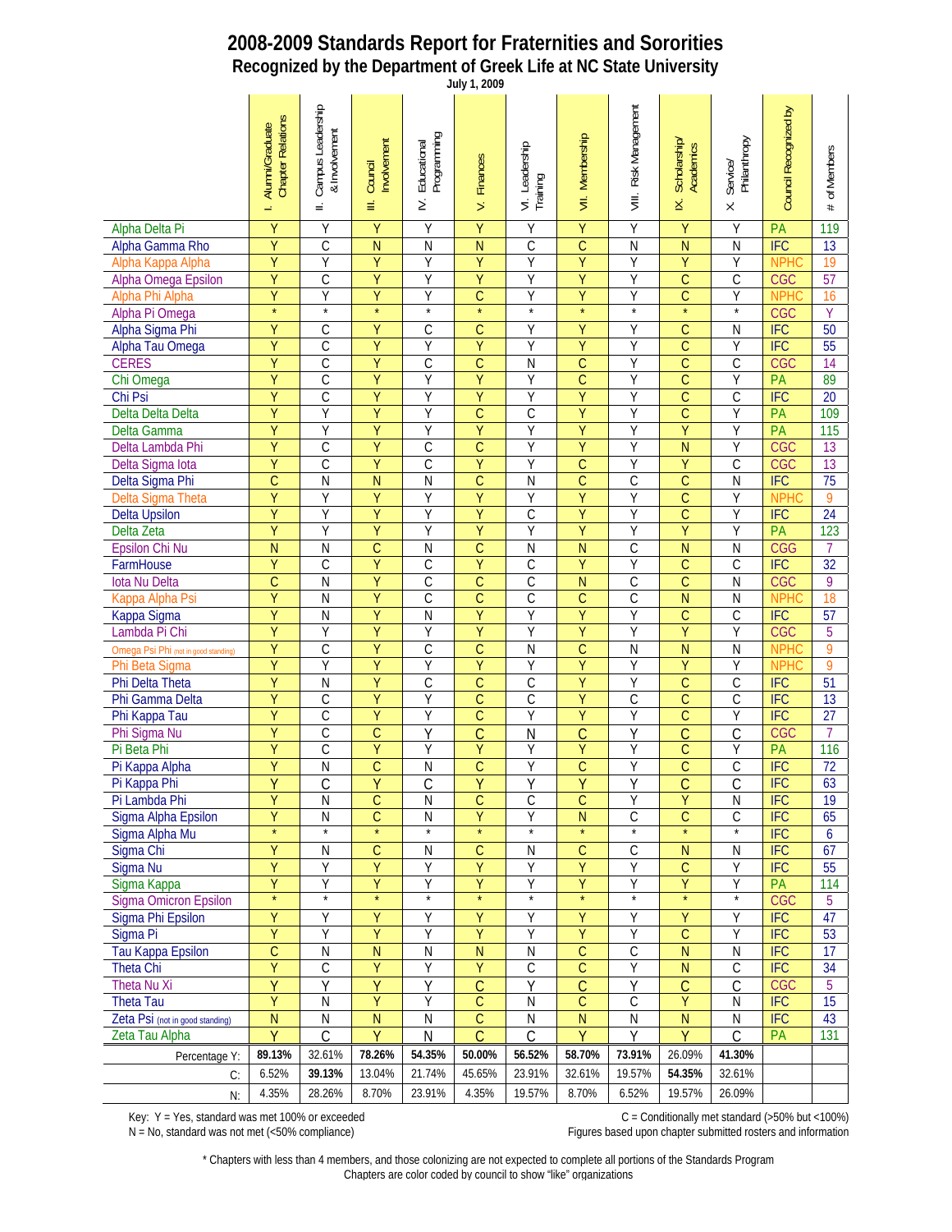## **2008-2009 Standards Report for Fraternities and Sororities Recognized by the Department of Greek Life at NC State University**

| July 1, 2009                         |                                                   |                                                |                             |                                      |                                  |                            |                         |                             |                                |                                            |                       |                 |
|--------------------------------------|---------------------------------------------------|------------------------------------------------|-----------------------------|--------------------------------------|----------------------------------|----------------------------|-------------------------|-----------------------------|--------------------------------|--------------------------------------------|-----------------------|-----------------|
|                                      | <b>Chapter Relations</b><br>Alumni/Graduate<br>÷, | Campus Leadership<br>& Involvement<br>$\equiv$ | Involvement<br>Council<br>≡ | Programming<br>Educational<br>$\geq$ | <b>Finances</b><br>$\frac{1}{2}$ | VI. Leadership<br>Training | VII. Membership         | Risk Management<br>$\equiv$ | Scholarship/<br>Academics<br>× | Service/<br>Philanthropy<br>$\dot{\times}$ | Council Recognized by | of Members<br># |
| Alpha Delta Pi                       | Υ                                                 | Υ                                              | Y                           | Y                                    | Υ                                | Υ                          | $\overline{Y}$          | Υ                           | Y                              | Υ                                          | PA                    | 119             |
| Alpha Gamma Rho                      | Ÿ                                                 | $\overline{C}$                                 | N                           | $\overline{N}$                       | $\overline{N}$                   | $\overline{\text{C}}$      | $\overline{\mathsf{C}}$ | N                           | $\overline{N}$                 | N                                          | <b>IFC</b>            | 13              |
| Alpha Kappa Alpha                    | $\overline{Y}$                                    | Ÿ                                              | $\overline{Y}$              | Y                                    | Ÿ                                | Ÿ                          | $\overline{Y}$          | Y                           | Ÿ                              | Ÿ                                          | <b>NPHC</b>           | 19              |
| Alpha Omega Epsilon                  | Υ                                                 | C                                              | Υ                           | Υ                                    | Υ                                | Υ                          | Ÿ                       | Υ                           | $\overline{C}$                 | С                                          | <b>CGC</b>            | 57              |
| Alpha Phi Alpha                      | Ÿ                                                 | Ÿ                                              | Ÿ                           | Y                                    | $\overline{C}$                   | Ÿ                          | $\overline{Y}$          | Υ                           | $\overline{C}$                 | Ÿ                                          | <b>NPHC</b>           | 16              |
| Alpha Pi Omega                       | $\star$                                           | $^\star$                                       | $\star$                     | $\star$                              | $\star$                          | $\star$                    | $\star$                 | $\star$                     | $\star$                        | $\star$                                    | <b>CGC</b>            | Υ               |
| Alpha Sigma Phi                      | Ÿ                                                 | $\overline{C}$                                 | $\overline{Y}$              | $\overline{C}$                       | $\overline{C}$                   | Υ                          | Ÿ                       | $\overline{Y}$              | $\overline{C}$                 | N                                          | <b>IFC</b>            | 50              |
| Alpha Tau Omega                      | $\overline{Y}$                                    | $\overline{C}$                                 | $\overline{Y}$              | Ÿ                                    | Ÿ                                | Y                          | $\overline{Y}$          | Y                           | $\overline{C}$                 | Ÿ                                          | <b>IFC</b>            | 55              |
| <b>CERES</b>                         | Υ                                                 | $\overline{C}$                                 | Ÿ                           | $\overline{C}$                       | $\overline{C}$                   | Ν                          | $\overline{C}$          | Y                           | $\overline{C}$                 | С                                          | <b>CGC</b>            | 14              |
| Chi Omega                            | Ÿ                                                 | $\overline{C}$                                 | Ÿ                           | Y                                    | Ÿ                                | Υ                          | $\overline{C}$          | Y                           | $\overline{C}$                 | Ÿ                                          | PA                    | 89              |
| Chi Psi                              | Υ                                                 | $\overline{C}$                                 | Ÿ                           | Υ                                    | Υ                                | Υ                          | Ÿ                       | Υ                           | $\mathsf C$                    | C                                          | <b>IFC</b>            | 20              |
| Delta Delta Delta                    | Ÿ                                                 | Ÿ                                              | Ÿ                           | Y                                    | $\overline{\mathsf{C}}$          | $\overline{C}$             | Ÿ                       | Y                           | $\overline{C}$                 | Ÿ                                          | PA                    | 109             |
| Delta Gamma                          | Ÿ                                                 | Y                                              | Ÿ                           | Y                                    | Y                                | Ÿ                          | $\overline{Y}$          | Y                           | Y                              | Ÿ                                          | PA                    | 115             |
| Delta Lambda Phi                     | Ÿ                                                 | C                                              | Ÿ                           | C                                    | $\overline{\mathsf{C}}$          | Υ                          | Ÿ                       | Y                           | N                              | Y                                          | <b>CGC</b>            | 13              |
| Delta Sigma Iota                     | Ÿ                                                 | $\overline{C}$                                 | Ÿ                           | $\mathsf C$                          | Ÿ                                | Υ                          | $\overline{C}$          | Y                           | $\overline{Y}$                 | $\overline{C}$                             | <b>CGC</b>            | 13              |
| Delta Sigma Phi                      | Ċ                                                 | ${\sf N}$                                      | N                           | $\overline{N}$                       | C                                | N                          | $\overline{C}$          | $\mathsf C$                 | $\mathsf{C}$                   | N                                          | <b>IFC</b>            | 75              |
| Delta Sigma Theta                    | Ÿ                                                 | Ÿ                                              | Ÿ                           | Y                                    | Ÿ                                | Υ                          | Ÿ                       | Y                           | $\overline{C}$                 | Ÿ                                          | <b>NPHC</b>           | 9               |
| <b>Delta Upsilon</b>                 | $\overline{Y}$                                    | Ÿ                                              | Ÿ                           | Y                                    | Ÿ                                | $\overline{C}$             | $\overline{Y}$          | Y                           | $\overline{C}$                 | Ÿ                                          | IFC                   | 24              |
| Delta Zeta                           | Υ                                                 | Y                                              | Υ                           | Υ                                    | Υ                                | Υ                          | Ÿ                       | Υ                           | Ÿ                              | Y                                          | PA                    | 123             |
| <b>Epsilon Chi Nu</b>                | $\overline{N}$                                    | $\overline{N}$                                 | $\overline{C}$              | $\mathsf{N}$                         | $\overline{C}$                   | N                          | $\overline{\mathsf{N}}$ | $\mathcal{C}$               | $\overline{N}$                 | N                                          | <b>CGG</b>            | 7               |
| FarmHouse                            | Υ                                                 | $\mathcal{C}$                                  | Ÿ                           | $\mathsf C$                          | Ÿ                                | C                          | Ÿ                       | Y                           | $\mathsf{C}$                   | C                                          | IFC                   | $\overline{32}$ |
| lota Nu Delta                        | $\overline{\mathsf{C}}$                           | $\overline{N}$                                 | Ÿ                           | $\overline{C}$                       | $\overline{\mathsf{C}}$          | $\overline{C}$             | $\overline{\mathsf{N}}$ | $\overline{\mathsf{C}}$     | $\overline{C}$                 | N                                          | <b>CGC</b>            | 9               |
| Kappa Alpha Psi                      | $\overline{Y}$                                    | N                                              | Ÿ                           | $\overline{C}$                       | $\overline{C}$                   | $\overline{\text{C}}$      | $\overline{C}$          | $\overline{\mathsf{C}}$     | $\overline{N}$                 | N                                          | <b>NPHC</b>           | 18              |
| Kappa Sigma                          | Υ                                                 | N                                              | Υ                           | $\overline{N}$                       | Υ                                | Υ                          | Ÿ                       | Y                           | C                              | C                                          | IFC                   | 57              |
| Lambda Pi Chi                        | Ÿ                                                 | Ÿ                                              | Ÿ                           | Y                                    | Ÿ                                | Υ                          | $\overline{Y}$          | Y                           | $\overline{Y}$                 | Y                                          | <b>CGC</b>            | 5               |
| Omega Psi Phi (not in good standing) | Ÿ                                                 | $\overline{C}$                                 | Ÿ                           | $\overline{C}$                       | $\overline{C}$                   | N                          | $\overline{C}$          | N                           | $\overline{N}$                 | N                                          | <b>NPHC</b>           | 9               |
| Phi Beta Sigma                       | Ÿ                                                 | Ÿ                                              | $\overline{Y}$              | Ÿ                                    | Ÿ                                | Ÿ                          | Ÿ                       | Y                           | Ÿ                              | Ÿ                                          | <b>NPHC</b>           | 9               |
| Phi Delta Theta                      | $\overline{Y}$                                    | $\overline{N}$                                 | $\overline{Y}$              | $\overline{C}$                       | $\overline{C}$                   | $\overline{C}$             | $\overline{Y}$          | Y                           | $\overline{C}$                 | $\mathcal{C}$                              | IFC                   | 51              |
| Phi Gamma Delta                      | Υ                                                 | C                                              | Ÿ                           | Υ                                    | $\overline{\mathsf{C}}$          | С                          | Ÿ                       | С                           | $\overline{C}$                 | С                                          | IFC                   | 13              |
| Phi Kappa Tau                        | Ÿ                                                 | $\overline{C}$                                 | Ÿ                           | Y                                    | $\overline{\mathsf{C}}$          | Y                          | $\overline{Y}$          | Y                           | $\overline{C}$                 | Ÿ                                          | IFC                   | 27              |
| Phi Sigma Nu                         | Υ                                                 | $\mathcal{C}$                                  | $\mathsf{C}$                | Υ                                    | $\overline{C}$                   | N                          | $\overline{\mathsf{C}}$ | Υ                           | $\overline{C}$                 | C                                          | <b>CGC</b>            | 7               |
| Pi Beta Phi                          | Ÿ                                                 | $\overline{C}$                                 | Ÿ                           | Υ                                    | Ÿ                                | Υ                          | Ÿ                       | Y                           | $\overline{C}$                 | Υ                                          | PA                    | 116             |
| Pi Kappa Alpha                       | Ÿ                                                 | $\overline{N}$                                 | $\overline{C}$              | $\mathsf{N}$                         | $\overline{C}$                   | Ÿ                          | $\overline{C}$          | Y                           | $\overline{C}$                 | C                                          | IFC                   | $\overline{72}$ |
| Pi Kappa Phi                         | Y                                                 | <u>С</u>                                       | Υ                           | $\mathsf C$                          | Υ                                | Υ                          | Ϋ                       | Υ                           | $\overline{C}$                 | $\overline{C}$                             | <b>IFC</b>            | 63              |
| Pi Lambda Phi                        | Ÿ                                                 | N                                              | $\overline{C}$              | $\mathsf{N}$                         | $\overline{C}$                   | $\mathsf C$                | $\overline{C}$          | Υ                           | Ÿ                              | N                                          | <b>IFC</b>            | 19              |
| Sigma Alpha Epsilon                  | Ϋ<br>$\star$                                      | ${\sf N}$<br>$^\star$                          | $\mathsf C$                 | ${\sf N}$<br>$^\star$                | Υ<br>$\star$                     | Υ                          | N<br>$\star$            | $\mathsf C$                 | $\mathsf C$<br>$\star$         | С                                          | <b>IFC</b>            | 65              |
| Sigma Alpha Mu                       |                                                   |                                                |                             |                                      |                                  | $\star$                    |                         |                             |                                | $\star$                                    | IFC                   | 6               |
| Sigma Chi                            | Ÿ                                                 | N                                              | $\mathsf{C}$                | N                                    | C                                | Ν                          | $\mathsf C$             | С                           | ${\sf N}$                      | N                                          | <b>IFC</b>            | 67              |
| Sigma Nu                             | Ϋ                                                 | Y                                              | Υ                           | Y                                    | Υ                                | Υ                          | Ÿ                       | Υ                           | $\mathsf{C}$                   | Υ                                          | <b>IFC</b>            | 55              |
| Sigma Kappa                          | Ÿ<br>$\star$                                      | Υ<br>$\star$                                   | Υ                           | Υ                                    | Υ                                | Υ                          | Υ<br>$\star$            | Y                           | Y<br>$\star$                   | Υ<br>$\star$                               | PA                    | 114             |
| <b>Sigma Omicron Epsilon</b>         |                                                   |                                                |                             |                                      |                                  |                            |                         |                             |                                |                                            | <b>CGC</b>            | 5               |
| Sigma Phi Epsilon                    | Ÿ                                                 | Υ                                              | Y                           | Υ                                    | Ÿ                                | Υ                          | Ÿ                       | Υ                           | Υ                              | Υ                                          | <b>IFC</b>            | 47              |
| Sigma Pi                             | $\overline{Y}$                                    | Ÿ                                              | Ÿ                           | Y                                    | Ÿ                                | Υ                          | Ÿ                       | Y                           | $\overline{C}$                 | Ÿ                                          | <b>IFC</b>            | 53              |
| Tau Kappa Epsilon                    | C                                                 | ${\sf N}$                                      | N                           | ${\sf N}$                            | N                                | Ν                          | $\mathsf C$             | С                           | $\overline{N}$                 | N                                          | <b>IFC</b>            | 17              |
| Theta Chi                            | Ÿ                                                 | $\mathsf C$                                    | Ÿ                           | Y                                    | Ÿ                                | $\mathsf C$                | $\overline{C}$          | Y                           | $\overline{N}$                 | $\mathsf C$                                | IFC                   | 34              |
| Theta Nu Xi                          | Ÿ                                                 | Y                                              | Ý                           | Υ                                    | Ć                                | Y                          | $\overline{C}$          | Υ                           | $\mathsf{C}$                   | C                                          | <b>CGC</b>            | 5               |
| Theta Tau                            | Ÿ                                                 | N                                              | Ÿ                           | Υ                                    | $\overline{C}$                   | N                          | $\overline{C}$          | C                           | $\overline{Y}$                 | N                                          | IFC                   | 15              |
| Zeta Psi (not in good standing)      | N                                                 | ${\sf N}$                                      | N                           | ${\sf N}$                            | C                                | Ν                          | N                       | Ν                           | $\overline{N}$                 | N                                          | <b>IFC</b>            | 43              |
| Zeta Tau Alpha                       | Ÿ                                                 | $\mathsf C$                                    | Ÿ                           | N                                    | Ć                                | $\mathcal{C}$              | Y                       | Υ                           | $\overline{Y}$                 | C                                          | PA                    | 131             |
| Percentage Y:                        | 89.13%                                            | 32.61%                                         | 78.26%                      | 54.35%                               | 50.00%                           | 56.52%                     | 58.70%                  | 73.91%                      | 26.09%                         | 41.30%                                     |                       |                 |
| C:                                   | 6.52%                                             | 39.13%                                         | 13.04%                      | 21.74%                               | 45.65%                           | 23.91%                     | 32.61%                  | 19.57%                      | 54.35%                         | 32.61%                                     |                       |                 |
| N:                                   | 4.35%                                             | 28.26%                                         | 8.70%                       | 23.91%                               | 4.35%                            | 19.57%                     | 8.70%                   | 6.52%                       | 19.57%                         | 26.09%                                     |                       |                 |

N = No, standard was not met (<50% compliance) examplement of the state of the Figures based upon chapter submitted rosters and information

Key: Y = Yes, standard was met 100% or exceeded C = Conditionally met standard (>50% but <100%)

\* Chapters with less than 4 members, and those colonizing are not expected to complete all portions of the Standards Program Chapters are color coded by council to show "like" organizations